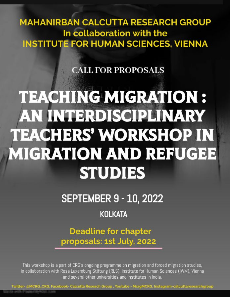**MAHANIRBAN CALCUTTA RESEARCH GROUP** In collaboration with the **INSTITUTE FOR HUMAN SCIENCES, VIENNA** 

### **CALL FOR PROPOSALS**

# **TEACHING MIGRATION :** AN INTERDISCIPLINARY **TEACHERS' WORKSHOP IN MIGRATION AND REFUGEE STUDIES**

**SEPTEMBER 9 - 10, 2022** 

## **KOLKATA**

**Deadline for chapter** proposals: 1st July, 2022

This workshop is a part of CRG's ongoing programme on migration and forced migration studies, in collaboration with Rosa Luxemburg Stiftung (RLS), Institute for Human Sciences (IWM), Vienna and several other universities and institutes in India.

Twitter- @MCRG\_CRG, Facebook- Calculta Reseach Group , Youtube - McrgMCRG, Instagram-calcuttaresearchgroup Voter=HWWWW